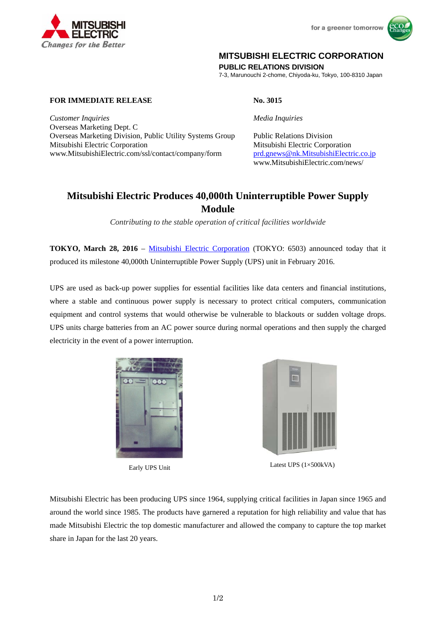





## **MITSUBISHI ELECTRIC CORPORATION**

**PUBLIC RELATIONS DIVISION** 

7-3, Marunouchi 2-chome, Chiyoda-ku, Tokyo, 100-8310 Japan

## **FOR IMMEDIATE RELEASE No. 3015**

**Changes for the Better** 

*Customer Inquiries Media Inquiries* Overseas Marketing Dept. C Overseas Marketing Division, Public Utility Systems Group Public Relations Division Mitsubishi Electric Corporation Mitsubishi Electric Corporation www.MitsubishiElectric.com/ssl/contact/company/form prd.gnews@nk.MitsubishiElectric.co.jp

# www.MitsubishiElectric.com/news/

## **Mitsubishi Electric Produces 40,000th Uninterruptible Power Supply Module**

*Contributing to the stable operation of critical facilities worldwide*

**TOKYO, March 28, 2016** – Mitsubishi Electric Corporation (TOKYO: 6503) announced today that it produced its milestone 40,000th Uninterruptible Power Supply (UPS) unit in February 2016.

UPS are used as back-up power supplies for essential facilities like data centers and financial institutions, where a stable and continuous power supply is necessary to protect critical computers, communication equipment and control systems that would otherwise be vulnerable to blackouts or sudden voltage drops. UPS units charge batteries from an AC power source during normal operations and then supply the charged electricity in the event of a power interruption.





Latest UPS (1×500kVA) Early UPS Unit

Mitsubishi Electric has been producing UPS since 1964, supplying critical facilities in Japan since 1965 and around the world since 1985. The products have garnered a reputation for high reliability and value that has made Mitsubishi Electric the top domestic manufacturer and allowed the company to capture the top market share in Japan for the last 20 years.